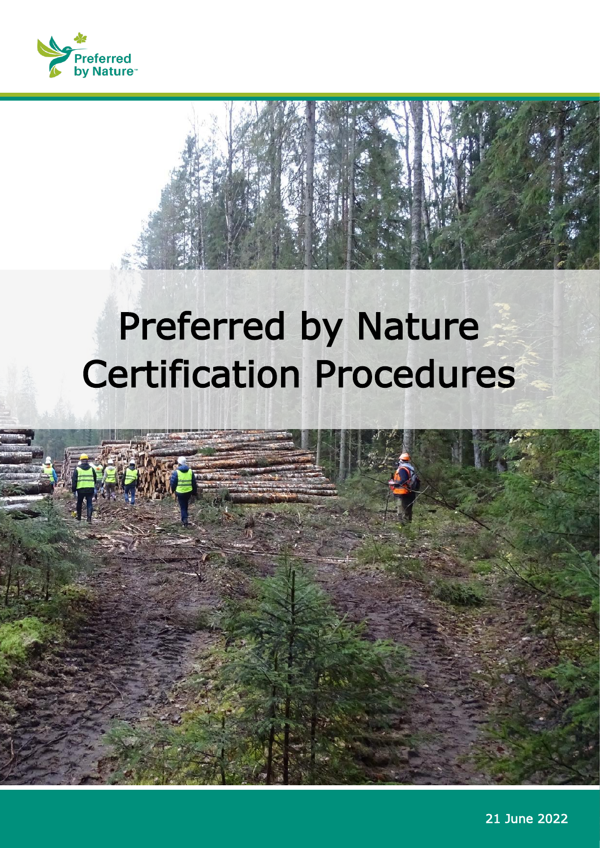

## Preferred by Nature Certification Procedures



21 June 2022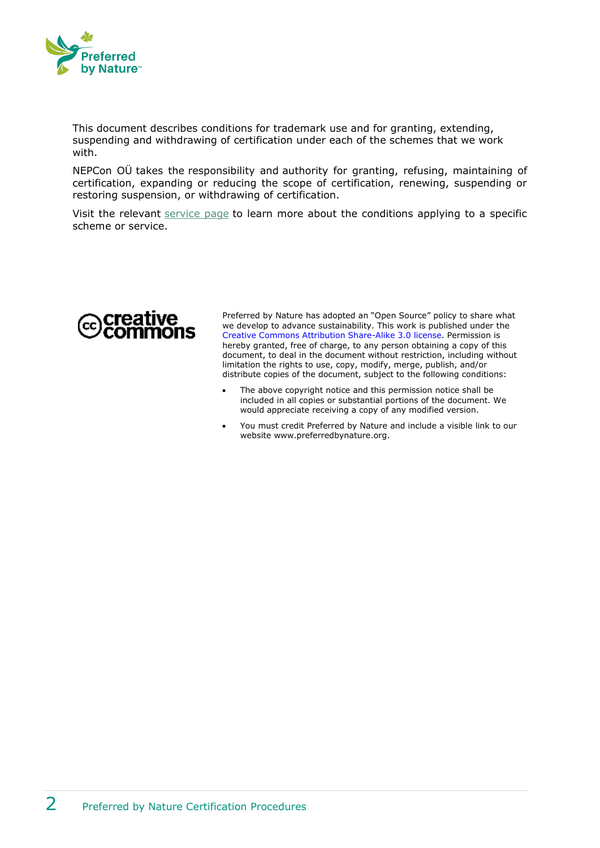

This document describes conditions for trademark use and for granting, extending, suspending and withdrawing of certification under each of the schemes that we work with.

NEPCon OÜ takes the responsibility and authority for granting, refusing, maintaining of certification, expanding or reducing the scope of certification, renewing, suspending or restoring suspension, or withdrawing of certification.

Visit the relevant [service page](https://preferredbynature.org/certification) to learn more about the conditions applying to a specific scheme or service.



Preferred by Nature has adopted an "Open Source" policy to share what we develop to advance sustainability. This work is published under the [Creative Commons Attribution Share-Alike 3.0 license.](http://creativecommons.org/licenses/by/3.0/) Permission is hereby granted, free of charge, to any person obtaining a copy of this document, to deal in the document without restriction, including without limitation the rights to use, copy, modify, merge, publish, and/or distribute copies of the document, subject to the following conditions:

- The above copyright notice and this permission notice shall be included in all copies or substantial portions of the document. We would appreciate receiving a copy of any modified version.
- You must credit Preferred by Nature and include a visible link to our website www.preferredbynature.org.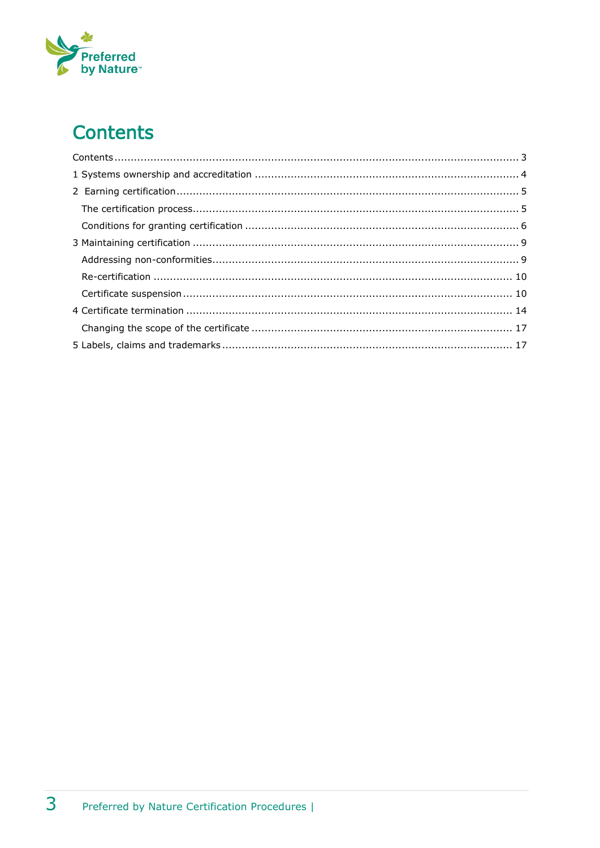# Preferred<br>by Nature<sup>®</sup>

## <span id="page-2-0"></span>**Contents**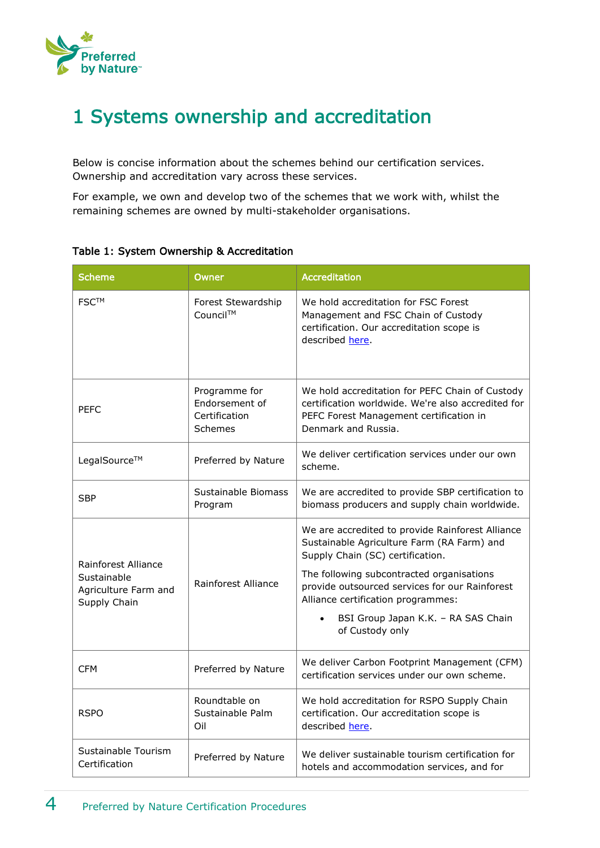

## <span id="page-3-0"></span>1 Systems ownership and accreditation

Below is concise information about the schemes behind our certification services. Ownership and accreditation vary across these services.

For example, we own and develop two of the schemes that we work with, whilst the remaining schemes are owned by multi-stakeholder organisations.

| <b>Scheme</b>                                                              | Owner                                                       | <b>Accreditation</b>                                                                                                                                                                                                                                                                                                              |
|----------------------------------------------------------------------------|-------------------------------------------------------------|-----------------------------------------------------------------------------------------------------------------------------------------------------------------------------------------------------------------------------------------------------------------------------------------------------------------------------------|
| <b>FSC™</b>                                                                | Forest Stewardship<br>Council™                              | We hold accreditation for FSC Forest<br>Management and FSC Chain of Custody<br>certification. Our accreditation scope is<br>described here.                                                                                                                                                                                       |
| <b>PFFC</b>                                                                | Programme for<br>Endorsement of<br>Certification<br>Schemes | We hold accreditation for PEFC Chain of Custody<br>certification worldwide. We're also accredited for<br>PEFC Forest Management certification in<br>Denmark and Russia.                                                                                                                                                           |
| LegalSource™                                                               | Preferred by Nature                                         | We deliver certification services under our own<br>scheme.                                                                                                                                                                                                                                                                        |
| <b>SBP</b>                                                                 | Sustainable Biomass<br>Program                              | We are accredited to provide SBP certification to<br>biomass producers and supply chain worldwide.                                                                                                                                                                                                                                |
| Rainforest Alliance<br>Sustainable<br>Agriculture Farm and<br>Supply Chain | Rainforest Alliance                                         | We are accredited to provide Rainforest Alliance<br>Sustainable Agriculture Farm (RA Farm) and<br>Supply Chain (SC) certification.<br>The following subcontracted organisations<br>provide outsourced services for our Rainforest<br>Alliance certification programmes:<br>BSI Group Japan K.K. - RA SAS Chain<br>of Custody only |
| <b>CFM</b>                                                                 | Preferred by Nature                                         | We deliver Carbon Footprint Management (CFM)<br>certification services under our own scheme.                                                                                                                                                                                                                                      |
| <b>RSPO</b>                                                                | Roundtable on<br>Sustainable Palm<br>Oil                    | We hold accreditation for RSPO Supply Chain<br>certification. Our accreditation scope is<br>described here.                                                                                                                                                                                                                       |
| Sustainable Tourism<br>Certification                                       | Preferred by Nature                                         | We deliver sustainable tourism certification for<br>hotels and accommodation services, and for                                                                                                                                                                                                                                    |

Table 1: System Ownership & Accreditation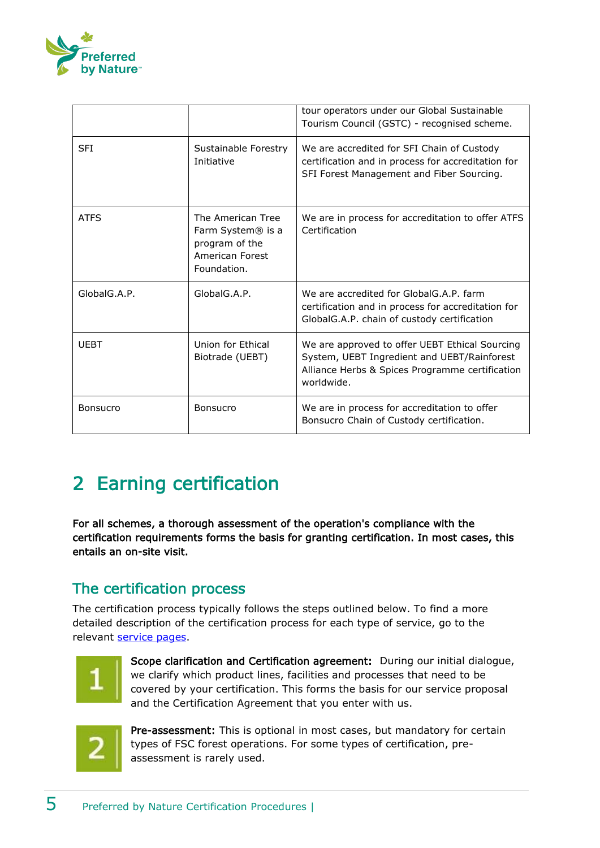

|                 |                                                                                                        | tour operators under our Global Sustainable<br>Tourism Council (GSTC) - recognised scheme.                                                                     |
|-----------------|--------------------------------------------------------------------------------------------------------|----------------------------------------------------------------------------------------------------------------------------------------------------------------|
| <b>SFI</b>      | Sustainable Forestry<br>Initiative                                                                     | We are accredited for SFI Chain of Custody<br>certification and in process for accreditation for<br>SFI Forest Management and Fiber Sourcing.                  |
| <b>ATFS</b>     | The American Tree<br>Farm System <sup>®</sup> is a<br>program of the<br>American Forest<br>Foundation. | We are in process for accreditation to offer ATFS<br>Certification                                                                                             |
| GlobalG.A.P.    | GlobalG.A.P.                                                                                           | We are accredited for GlobalG.A.P. farm<br>certification and in process for accreditation for<br>GlobalG.A.P. chain of custody certification                   |
| <b>UEBT</b>     | Union for Ethical<br>Biotrade (UEBT)                                                                   | We are approved to offer UEBT Ethical Sourcing<br>System, UEBT Ingredient and UEBT/Rainforest<br>Alliance Herbs & Spices Programme certification<br>worldwide. |
| <b>Bonsucro</b> | Bonsucro                                                                                               | We are in process for accreditation to offer<br>Bonsucro Chain of Custody certification.                                                                       |

## <span id="page-4-0"></span>2 Earning certification

For all schemes, a thorough assessment of the operation's compliance with the certification requirements forms the basis for granting certification. In most cases, this entails an on-site visit.

#### <span id="page-4-1"></span>The certification process

The certification process typically follows the steps outlined below. To find a more detailed description of the certification process for each type of service, go to the relevant [service pages.](https://www.nepcon.org/certification)



Scope clarification and Certification agreement: During our initial dialogue, we clarify which product lines, facilities and processes that need to be covered by your certification. This forms the basis for our service proposal and the Certification Agreement that you enter with us.



Pre-assessment: This is optional in most cases, but mandatory for certain types of FSC forest operations. For some types of certification, preassessment is rarely used.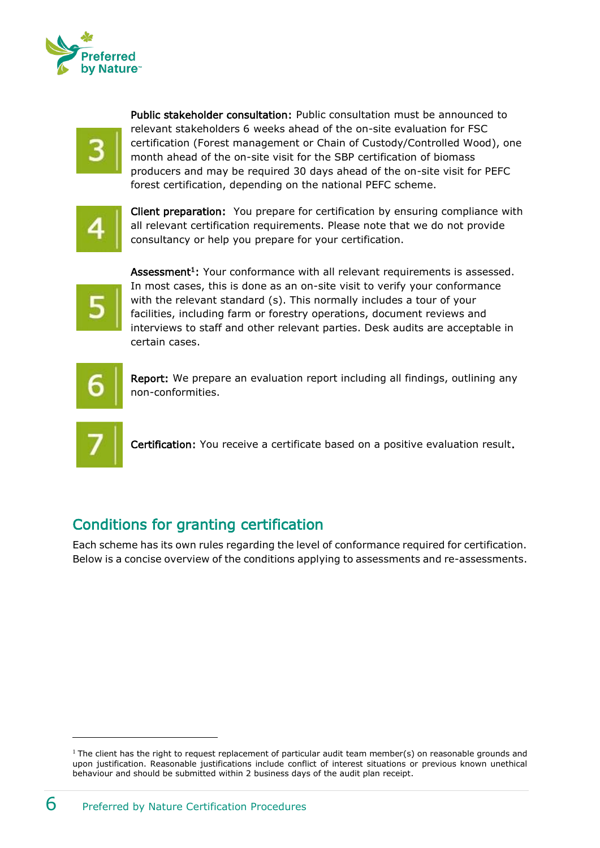



Public stakeholder consultation: Public consultation must be announced to relevant stakeholders 6 weeks ahead of the on-site evaluation for FSC certification (Forest management or Chain of Custody/Controlled Wood), one month ahead of the on-site visit for the SBP certification of biomass producers and may be required 30 days ahead of the on-site visit for PEFC forest certification, depending on the national PEFC scheme.

Client preparation: You prepare for certification by ensuring compliance with all relevant certification requirements. Please note that we do not provide consultancy or help you prepare for your certification.



Assessment<sup>1</sup>: Your conformance with all relevant requirements is assessed. In most cases, this is done as an on-site visit to verify your conformance with the relevant standard (s). This normally includes a tour of your facilities, including farm or forestry operations, document reviews and interviews to staff and other relevant parties. Desk audits are acceptable in certain cases.

$$
\vert 6 \vert
$$

Report: We prepare an evaluation report including all findings, outlining any non-conformities.



Certification: You receive a certificate based on a positive evaluation result.

### <span id="page-5-0"></span>Conditions for granting certification

Each scheme has its own rules regarding the level of conformance required for certification. Below is a concise overview of the conditions applying to assessments and re-assessments.

<sup>&</sup>lt;sup>1</sup> The client has the right to request replacement of particular audit team member(s) on reasonable grounds and upon justification. Reasonable justifications include conflict of interest situations or previous known unethical behaviour and should be submitted within 2 business days of the audit plan receipt.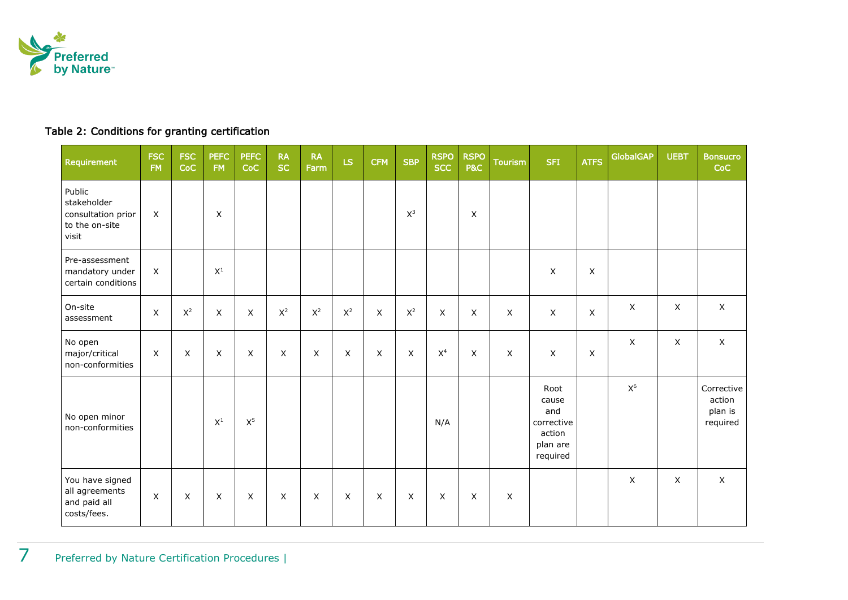

#### Table 2: Conditions for granting certification

| <b>Requirement</b>                                                     | <b>FSC</b><br><b>FM</b> | <b>FSC</b><br>CoC | <b>PEFC</b><br><b>FM</b> | <b>PEFC</b><br>CoC        | <b>RA</b><br><b>SC</b> | <b>RA</b><br>Farm | LS             | <b>CFM</b> | <b>SBP</b>     | <b>RSPO</b><br><b>SCC</b> | <b>RSPO</b><br><b>P&amp;C</b> | <b>Tourism</b> | <b>SFI</b>                                                           | <b>ATFS</b> | <b>GlobalGAP</b> | <b>UEBT</b> | <b>Bonsucro</b><br>CoC                      |
|------------------------------------------------------------------------|-------------------------|-------------------|--------------------------|---------------------------|------------------------|-------------------|----------------|------------|----------------|---------------------------|-------------------------------|----------------|----------------------------------------------------------------------|-------------|------------------|-------------|---------------------------------------------|
| Public<br>stakeholder<br>consultation prior<br>to the on-site<br>visit | X                       |                   | X                        |                           |                        |                   |                |            | $\mathsf{X}^3$ |                           | X                             |                |                                                                      |             |                  |             |                                             |
| Pre-assessment<br>mandatory under<br>certain conditions                | X                       |                   | $X^1$                    |                           |                        |                   |                |            |                |                           |                               |                | $\pmb{\times}$                                                       | X           |                  |             |                                             |
| On-site<br>assessment                                                  | X                       | $X^2$             | X                        | X                         | $\mathsf{X}^2$         | $\mathsf{X}^2$    | $\mathsf{X}^2$ | X          | $\mathsf{X}^2$ | X                         | X                             | X              | $\mathsf X$                                                          | X           | X                | X           | $\mathsf{X}$                                |
| No open<br>major/critical<br>non-conformities                          | $\mathsf X$             | X                 | X                        | X                         | $\mathsf X$            | X                 | X              | X          | $\mathsf X$    | X <sup>4</sup>            | X                             | $\mathsf X$    | $\mathsf X$                                                          | X           | X                | X           | $\mathsf{X}$                                |
| No open minor<br>non-conformities                                      |                         |                   | $\mathsf{X}^1$           | $\mathsf{X}^5$            |                        |                   |                |            |                | N/A                       |                               |                | Root<br>cause<br>and<br>corrective<br>action<br>plan are<br>required |             | $\mathsf{X}^6$   |             | Corrective<br>action<br>plan is<br>required |
| You have signed<br>all agreements<br>and paid all<br>costs/fees.       | X                       | X                 | X                        | $\boldsymbol{\mathsf{X}}$ | X                      | X                 | X              | $\sf X$    | X              | X                         | X                             | X              |                                                                      |             | X                | X           | $\mathsf{X}$                                |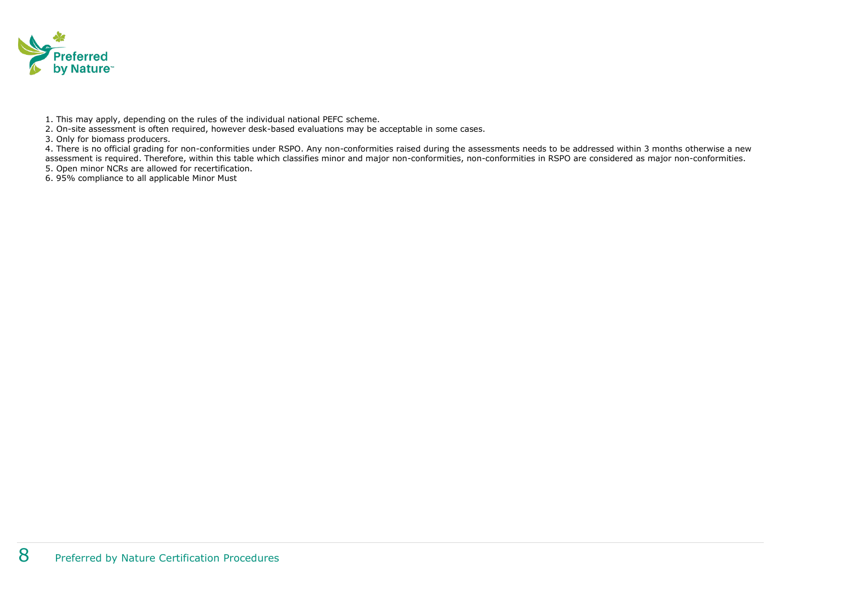

1. This may apply, depending on the rules of the individual national PEFC scheme.

2. On-site assessment is often required, however desk-based evaluations may be acceptable in some cases.

3. Only for biomass producers.

4. There is no official grading for non-conformities under RSPO. Any non-conformities raised during the assessments needs to be addressed within 3 months otherwise a new assessment is required. Therefore, within this table which classifies minor and major non-conformities, non-conformities in RSPO are considered as major non-conformities.

5. Open minor NCRs are allowed for recertification.

6. 95% compliance to all applicable Minor Must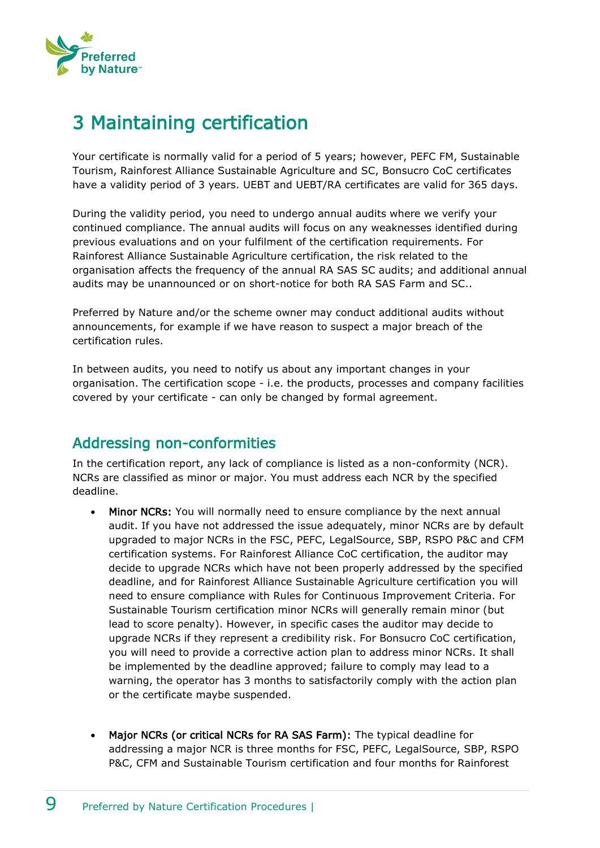

## <span id="page-8-0"></span>3 Maintaining certification

Your certificate is normally valid for a period of 5 years; however, PEFC FM, Sustainable Tourism, Rainforest Alliance Sustainable Agriculture and SC, Bonsucro CoC certificates have a validity period of 3 years. UEBT and UEBT/RA certificates are valid for 365 days.

During the validity period, you need to undergo annual audits where we verify your continued compliance. The annual audits will focus on any weaknesses identified during previous evaluations and on your fulfilment of the certification requirements. For Rainforest Alliance Sustainable Agriculture certification, the risk related to the organisation affects the frequency of the annual RA SAS SC audits; and additional annual audits may be unannounced or on short-notice for both RA SAS Farm and SC..

Preferred by Nature and/or the scheme owner may conduct additional audits without announcements, for example if we have reason to suspect a major breach of the certification rules.

In between audits, you need to notify us about any important changes in your organisation. The certification scope - i.e. the products, processes and company facilities covered by your certificate - can only be changed by formal agreement.

#### <span id="page-8-1"></span>Addressing non-conformities

In the certification report, any lack of compliance is listed as a non-conformity (NCR). NCRs are classified as minor or major. You must address each NCR by the specified deadline.

- Minor NCRs: You will normally need to ensure compliance by the next annual audit. If you have not addressed the issue adequately, minor NCRs are by default upgraded to major NCRs in the FSC, PEFC, LegalSource, SBP, RSPO P&C and CFM certification systems. For Rainforest Alliance CoC certification, the auditor may decide to upgrade NCRs which have not been properly addressed by the specified deadline, and for Rainforest Alliance Sustainable Agriculture certification you will need to ensure compliance with Rules for Continuous Improvement Criteria. For Sustainable Tourism certification minor NCRs will generally remain minor (but lead to score penalty). However, in specific cases the auditor may decide to upgrade NCRs if they represent a credibility risk. For Bonsucro CoC certification, you will need to provide a corrective action plan to address minor NCRs. It shall be implemented by the deadline approved; failure to comply may lead to a warning, the operator has 3 months to satisfactorily comply with the action plan or the certificate maybe suspended.
- Major NCRs (or critical NCRs for RA SAS Farm): The typical deadline for addressing a major NCR is three months for FSC, PEFC, LegalSource, SBP, RSPO P&C, CFM and Sustainable Tourism certification and four months for Rainforest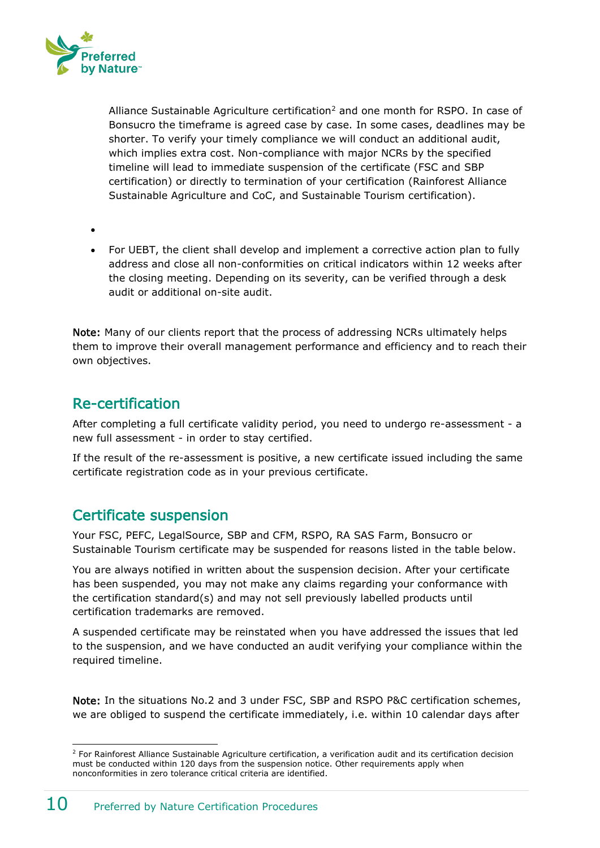

Alliance Sustainable Agriculture certification<sup>2</sup> and one month for RSPO. In case of Bonsucro the timeframe is agreed case by case. In some cases, deadlines may be shorter. To verify your timely compliance we will conduct an additional audit, which implies extra cost. Non-compliance with major NCRs by the specified timeline will lead to immediate suspension of the certificate (FSC and SBP certification) or directly to termination of your certification (Rainforest Alliance Sustainable Agriculture and CoC, and Sustainable Tourism certification).

- •
- For UEBT, the client shall develop and implement a corrective action plan to fully address and close all non-conformities on critical indicators within 12 weeks after the closing meeting. Depending on its severity, can be verified through a desk audit or additional on-site audit.

Note: Many of our clients report that the process of addressing NCRs ultimately helps them to improve their overall management performance and efficiency and to reach their own objectives.

#### <span id="page-9-0"></span>Re-certification

After completing a full certificate validity period, you need to undergo re-assessment - a new full assessment - in order to stay certified.

If the result of the re-assessment is positive, a new certificate issued including the same certificate registration code as in your previous certificate.

#### <span id="page-9-1"></span>Certificate suspension

Your FSC, PEFC, LegalSource, SBP and CFM, RSPO, RA SAS Farm, Bonsucro or Sustainable Tourism certificate may be suspended for reasons listed in the table below.

You are always notified in written about the suspension decision. After your certificate has been suspended, you may not make any claims regarding your conformance with the certification standard(s) and may not sell previously labelled products until certification trademarks are removed.

A suspended certificate may be reinstated when you have addressed the issues that led to the suspension, and we have conducted an audit verifying your compliance within the required timeline.

Note: In the situations No.2 and 3 under FSC, SBP and RSPO P&C certification schemes, we are obliged to suspend the certificate immediately, i.e. within 10 calendar days after

<sup>&</sup>lt;sup>2</sup> For Rainforest Alliance Sustainable Agriculture certification, a verification audit and its certification decision must be conducted within 120 days from the suspension notice. Other requirements apply when nonconformities in zero tolerance critical criteria are identified.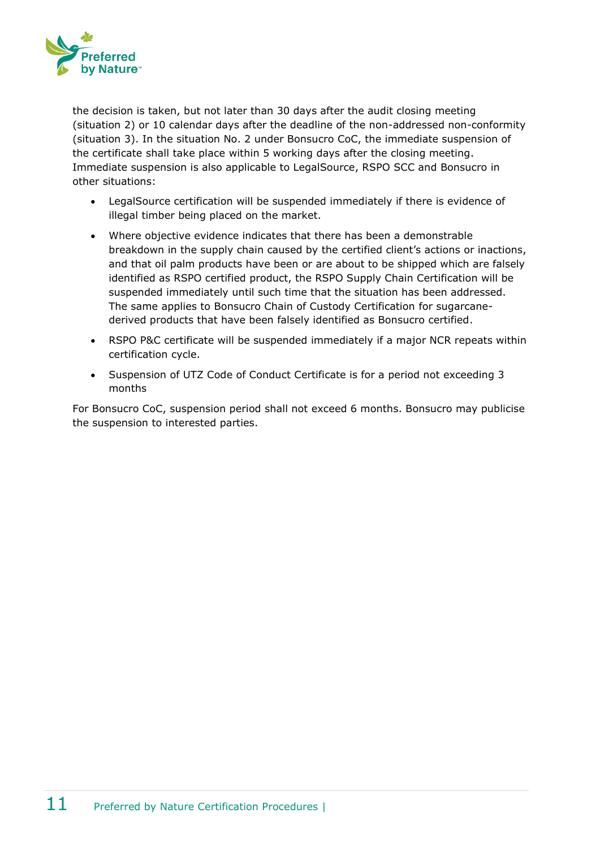

the decision is taken, but not later than 30 days after the audit closing meeting (situation 2) or 10 calendar days after the deadline of the non-addressed non-conformity (situation 3). In the situation No. 2 under Bonsucro CoC, the immediate suspension of the certificate shall take place within 5 working days after the closing meeting. Immediate suspension is also applicable to LegalSource, RSPO SCC and Bonsucro in other situations:

- LegalSource certification will be suspended immediately if there is evidence of illegal timber being placed on the market.
- Where objective evidence indicates that there has been a demonstrable breakdown in the supply chain caused by the certified client's actions or inactions, and that oil palm products have been or are about to be shipped which are falsely identified as RSPO certified product, the RSPO Supply Chain Certification will be suspended immediately until such time that the situation has been addressed. The same applies to Bonsucro Chain of Custody Certification for sugarcanederived products that have been falsely identified as Bonsucro certified.
- RSPO P&C certificate will be suspended immediately if a major NCR repeats within certification cycle.
- Suspension of UTZ Code of Conduct Certificate is for a period not exceeding 3 months

For Bonsucro CoC, suspension period shall not exceed 6 months. Bonsucro may publicise the suspension to interested parties.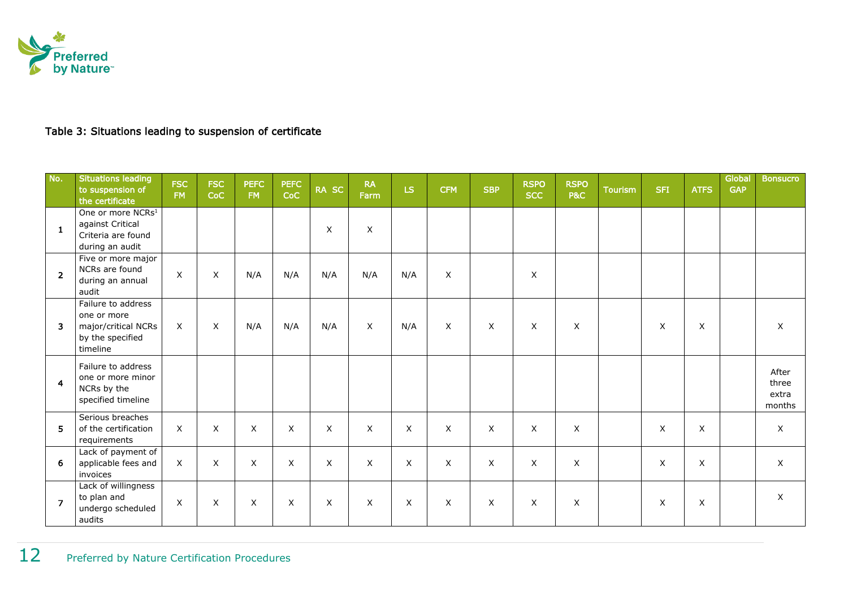

#### Table 3: Situations leading to suspension of certificate

| No.            | <b>Situations leading</b><br>to suspension of<br>the certificate                           | <b>FSC</b><br><b>FM</b> | <b>FSC</b><br>CoC | <b>PEFC</b><br>FM | <b>PEFC</b><br>CoC | RA SC | <b>RA</b><br>Farm | LS. | <b>CFM</b>   | <b>SBP</b>     | <b>RSPO</b><br><b>SCC</b> | <b>RSPO</b><br><b>P&amp;C</b> | <b>Tourism</b> | <b>SFI</b> | <b>ATFS</b> | Global<br><b>GAP</b> | <b>Bonsucro</b>                   |
|----------------|--------------------------------------------------------------------------------------------|-------------------------|-------------------|-------------------|--------------------|-------|-------------------|-----|--------------|----------------|---------------------------|-------------------------------|----------------|------------|-------------|----------------------|-----------------------------------|
| 1              | One or more NCRs <sup>1</sup><br>against Critical<br>Criteria are found<br>during an audit |                         |                   |                   |                    | X     | $\mathsf X$       |     |              |                |                           |                               |                |            |             |                      |                                   |
| $\overline{2}$ | Five or more major<br>NCRs are found<br>during an annual<br>audit                          | $\mathsf X$             | X                 | N/A               | N/A                | N/A   | N/A               | N/A | X            |                | X                         |                               |                |            |             |                      |                                   |
| 3              | Failure to address<br>one or more<br>major/critical NCRs<br>by the specified<br>timeline   | $\mathsf{X}$            | $\sf X$           | N/A               | N/A                | N/A   | X                 | N/A | $\times$     | X              | $\mathsf{X}$              | X                             |                | X          | X           |                      | X                                 |
| $\overline{4}$ | Failure to address<br>one or more minor<br>NCRs by the<br>specified timeline               |                         |                   |                   |                    |       |                   |     |              |                |                           |                               |                |            |             |                      | After<br>three<br>extra<br>months |
| 5              | Serious breaches<br>of the certification<br>requirements                                   | X                       | X                 | $\times$          | X                  | X     | X                 | X   | $\times$     | X              | $\mathsf{X}$              | X                             |                | X          | X           |                      | X                                 |
| 6              | Lack of payment of<br>applicable fees and<br>invoices                                      | X                       | X                 | X                 | X                  | X     | X                 | X   | $\mathsf{X}$ | $\pmb{\times}$ | X                         | X                             |                | X          | X           |                      | X                                 |
| $\overline{7}$ | Lack of willingness<br>to plan and<br>undergo scheduled<br>audits                          | X                       | X                 | X                 | X                  | X     | X                 | X   | X            | X              | X                         | X                             |                | X          | X           |                      | X                                 |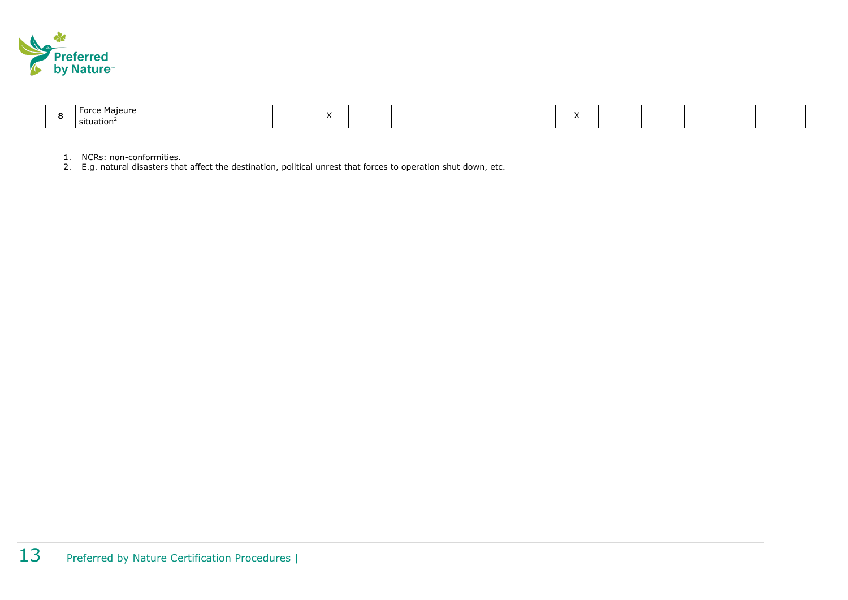

| $ -$<br>Maieur<br>$ -$ |  |  |  |  |  |  |  |  |
|------------------------|--|--|--|--|--|--|--|--|
| situation <sup>4</sup> |  |  |  |  |  |  |  |  |

1. NCRs: non-conformities.

2. E.g. natural disasters that affect the destination, political unrest that forces to operation shut down, etc.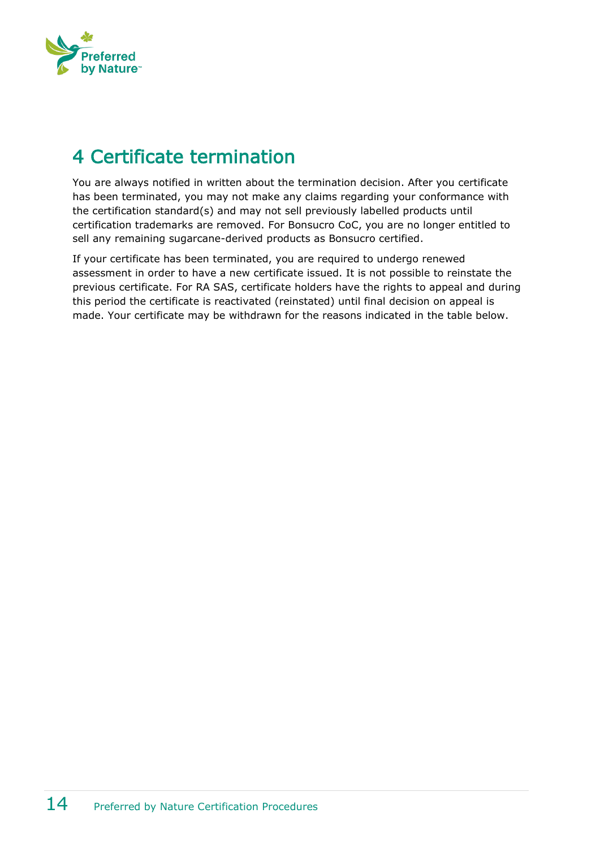

## <span id="page-13-0"></span>4 Certificate termination

You are always notified in written about the termination decision. After you certificate has been terminated, you may not make any claims regarding your conformance with the certification standard(s) and may not sell previously labelled products until certification trademarks are removed. For Bonsucro CoC, you are no longer entitled to sell any remaining sugarcane-derived products as Bonsucro certified.

If your certificate has been terminated, you are required to undergo renewed assessment in order to have a new certificate issued. It is not possible to reinstate the previous certificate. For RA SAS, certificate holders have the rights to appeal and during this period the certificate is reactivated (reinstated) until final decision on appeal is made. Your certificate may be withdrawn for the reasons indicated in the table below.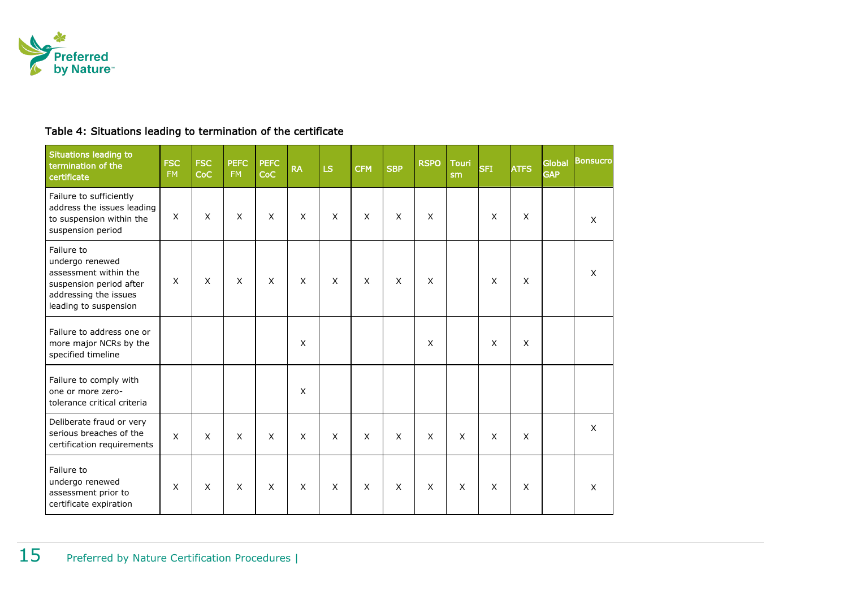

#### Table 4: Situations leading to termination of the certificate

| <b>Situations leading to</b><br>termination of the<br>certificate                                                                   | <b>FSC</b><br>FM. | <b>FSC</b><br><b>CoC</b> | <b>PEFC</b><br><b>FM</b> | <b>PEFC</b><br>CoC | <b>RA</b>      | LS | <b>CFM</b> | <b>SBP</b>     | <b>RSPO</b>  | <b>Touri</b><br>sm | <b>SFI</b>   | <b>ATFS</b> | <b>Global</b><br><b>GAP</b> | <b>Bonsucro</b> |
|-------------------------------------------------------------------------------------------------------------------------------------|-------------------|--------------------------|--------------------------|--------------------|----------------|----|------------|----------------|--------------|--------------------|--------------|-------------|-----------------------------|-----------------|
| Failure to sufficiently<br>address the issues leading<br>to suspension within the<br>suspension period                              | X                 | $\sf X$                  | X                        | X                  | X              | X  | X          | X              | X            |                    | X            | X           |                             | X               |
| Failure to<br>undergo renewed<br>assessment within the<br>suspension period after<br>addressing the issues<br>leading to suspension | $\mathsf{x}$      | $\sf X$                  | $\times$                 | X                  | $\times$       | X  | X          | $\times$       | $\times$     |                    | X            | X           |                             | X               |
| Failure to address one or<br>more major NCRs by the<br>specified timeline                                                           |                   |                          |                          |                    | $\times$       |    |            |                | X            |                    | $\mathsf{x}$ | X           |                             |                 |
| Failure to comply with<br>one or more zero-<br>tolerance critical criteria                                                          |                   |                          |                          |                    | $\times$       |    |            |                |              |                    |              |             |                             |                 |
| Deliberate fraud or very<br>serious breaches of the<br>certification requirements                                                   | $\mathsf{x}$      | $\mathsf{X}$             | $\mathsf{x}$             | $\mathsf{x}$       | $\pmb{\times}$ | X  | X          | $\pmb{\times}$ | $\mathsf{X}$ | $\mathsf{x}$       | $\mathsf{X}$ | X           |                             | X               |
| Failure to<br>undergo renewed<br>assessment prior to<br>certificate expiration                                                      | X                 | $\times$                 | $\mathsf{X}$             | X                  | X              | X  | X          | X              | X            | $\times$           | X            | X           |                             | X               |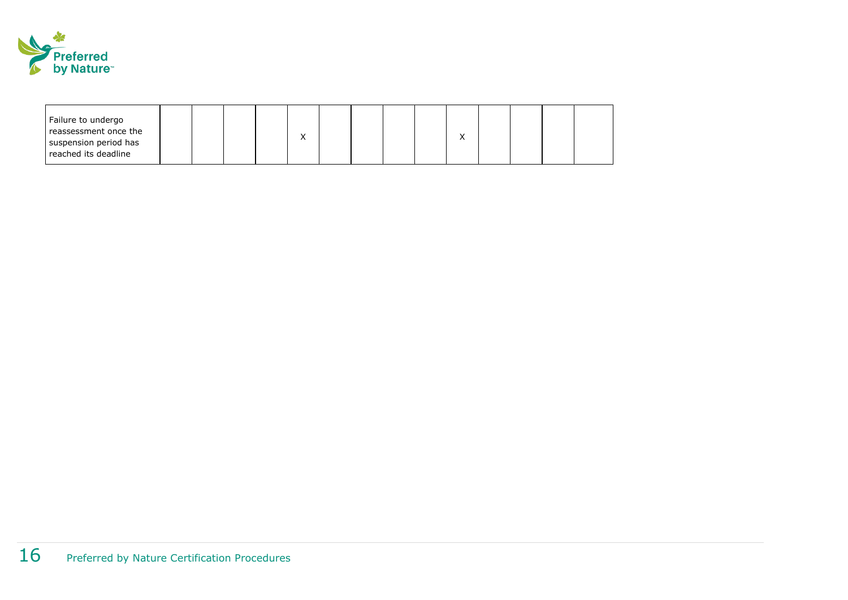

| Failure to undergo<br>reassessment once the<br>suspension period has |  |  | ↗ |  |  |  |  |  |
|----------------------------------------------------------------------|--|--|---|--|--|--|--|--|
| reached its deadline                                                 |  |  |   |  |  |  |  |  |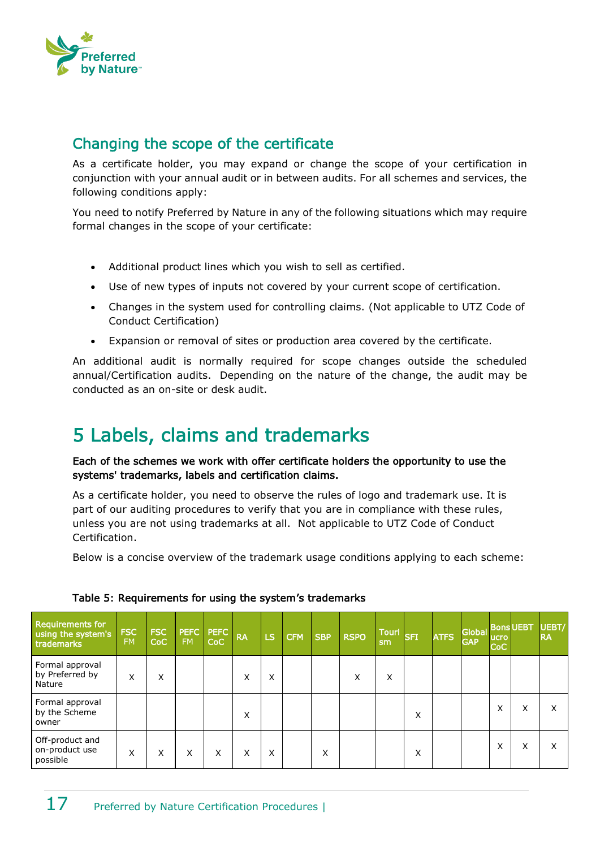

#### <span id="page-16-0"></span>Changing the scope of the certificate

As a certificate holder, you may expand or change the scope of your certification in conjunction with your annual audit or in between audits. For all schemes and services, the following conditions apply:

You need to notify Preferred by Nature in any of the following situations which may require formal changes in the scope of your certificate:

- Additional product lines which you wish to sell as certified.
- Use of new types of inputs not covered by your current scope of certification.
- Changes in the system used for controlling claims. (Not applicable to UTZ Code of Conduct Certification)
- Expansion or removal of sites or production area covered by the certificate.

An additional audit is normally required for scope changes outside the scheduled annual/Certification audits. Depending on the nature of the change, the audit may be conducted as an on-site or desk audit.

## <span id="page-16-1"></span>5 Labels, claims and trademarks

Each of the schemes we work with offer certificate holders the opportunity to use the systems' trademarks, labels and certification claims.

As a certificate holder, you need to observe the rules of logo and trademark use. It is part of our auditing procedures to verify that you are in compliance with these rules, unless you are not using trademarks at all. Not applicable to UTZ Code of Conduct Certification.

Below is a concise overview of the trademark usage conditions applying to each scheme:

| <b>Requirements for</b><br>using the system's<br>trademarks | <b>FSC</b><br><b>FM</b> | <b>FSC</b><br>CoC | PEFC<br><b>FM</b> | <b>PEFC</b><br>CoC | <b>RA</b>         | <b>LS</b> | $ $ CFM | <b>SBP</b>        | <b>RSPO</b> | <b>Touri</b><br>sm | <b>SFI</b> | <b>ATFS</b> | Global Bons UEBT<br><b>GAP</b> | <b>ucro</b><br>CoC |   | UEBT/<br><b>RA</b> |
|-------------------------------------------------------------|-------------------------|-------------------|-------------------|--------------------|-------------------|-----------|---------|-------------------|-------------|--------------------|------------|-------------|--------------------------------|--------------------|---|--------------------|
| Formal approval<br>by Preferred by<br>Nature                | X                       | X                 |                   |                    | $\checkmark$<br>⋏ | X         |         |                   | X           | Χ                  |            |             |                                |                    |   |                    |
| Formal approval<br>by the Scheme<br>owner                   |                         |                   |                   |                    | X                 |           |         |                   |             |                    | Χ          |             |                                | X                  | X |                    |
| Off-product and<br>on-product use<br>possible               | X                       | X                 | X                 | X                  | X                 | X         |         | $\checkmark$<br>⋏ |             |                    | Χ          |             |                                | X                  | X |                    |

#### Table 5: Requirements for using the system's trademarks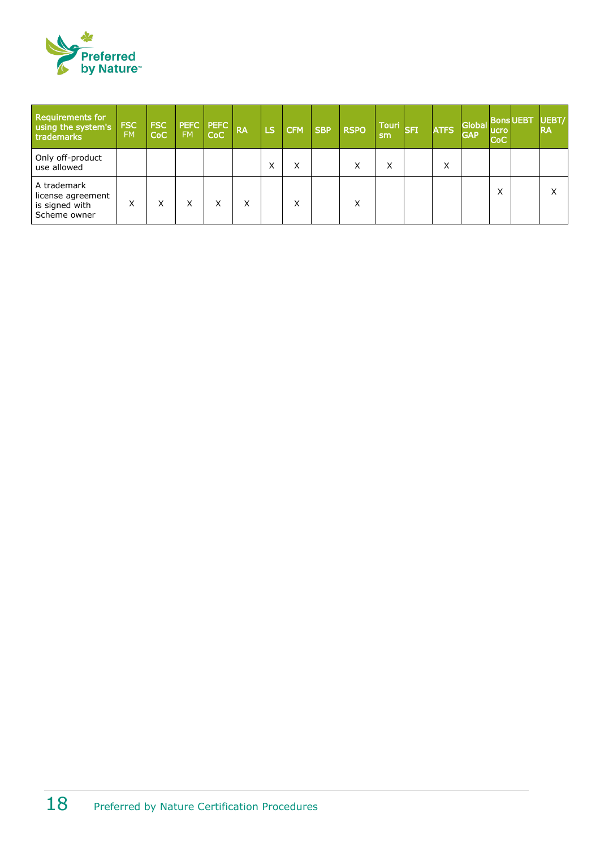

| <b>Requirements for</b><br>using the system's<br>trademarks        | <b>FSC</b><br><b>FM</b> | <b>FSC</b><br><b>CoC</b> | <b>PEFC PEFC</b><br><b>FM</b> | CoC | <b>RA</b> | <b>LS</b> | <b>CFM</b> | <b>SBP</b> | <b>RSPO</b> | sm | <b>TOUT SFLOW</b> | <b>ATFS</b> | <b>Global</b><br><b>GAP</b> | <b>Bons UEBT</b><br>lucro<br><b>CoC</b> | UEBT/<br><b>RA</b> |
|--------------------------------------------------------------------|-------------------------|--------------------------|-------------------------------|-----|-----------|-----------|------------|------------|-------------|----|-------------------|-------------|-----------------------------|-----------------------------------------|--------------------|
| Only off-product<br>use allowed                                    |                         |                          |                               |     |           | ⋏         | х          |            | x           | Χ  |                   | Χ           |                             |                                         |                    |
| A trademark<br>license agreement<br>is signed with<br>Scheme owner | X                       | X                        | v<br>⋏                        |     | x         |           |            |            | X           |    |                   |             |                             | $\checkmark$<br>⋏                       | Χ                  |